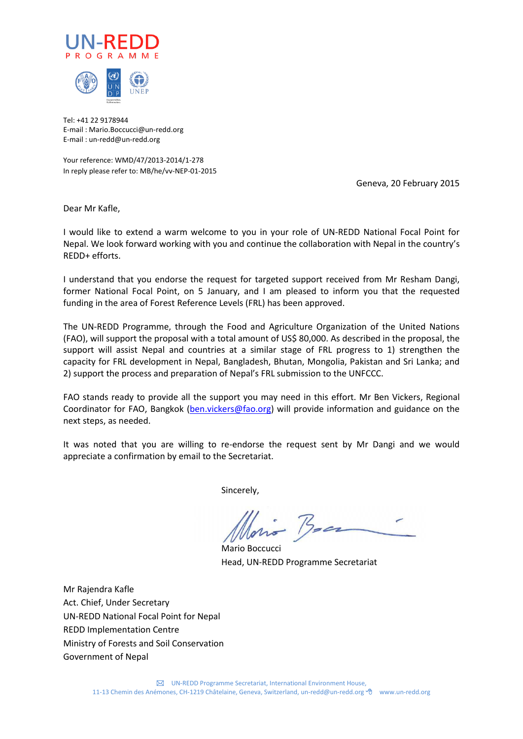



Tel: +41 22 9178944 E-mail : Mario.Boccucci@un-redd.org E-mail : un-redd@un-redd.org

Your reference: WMD/47/2013-2014/1-278 In reply please refer to: MB/he/vv-NEP-01-2015

Geneva, 20 February 2015

Dear Mr Kafle,

I would like to extend a warm welcome to you in your role of UN-REDD National Focal Point for Nepal. We look forward working with you and continue the collaboration with Nepal in the country's REDD+ efforts.

I understand that you endorse the request for targeted support received from Mr Resham Dangi, former National Focal Point, on 5 January, and I am pleased to inform you that the requested funding in the area of Forest Reference Levels (FRL) has been approved.

The UN-REDD Programme, through the Food and Agriculture Organization of the United Nations (FAO), will support the proposal with a total amount of US\$ 80,000. As described in the proposal, the support will assist Nepal and countries at a similar stage of FRL progress to 1) strengthen the capacity for FRL development in Nepal, Bangladesh, Bhutan, Mongolia, Pakistan and Sri Lanka; and 2) support the process and preparation of Nepal's FRL submission to the UNFCCC.

FAO stands ready to provide all the support you may need in this effort. Mr Ben Vickers, Regional Coordinator for FAO, Bangkok [\(ben.vickers@fao.org\)](mailto:ben.vickers@fao.org) will provide information and guidance on the next steps, as needed.

It was noted that you are willing to re-endorse the request sent by Mr Dangi and we would appreciate a confirmation by email to the Secretariat.

Sincerely,

Mario Boccucci Head, UN-REDD Programme Secretariat

Mr Rajendra Kafle Act. Chief, Under Secretary UN-REDD National Focal Point for Nepal REDD Implementation Centre Ministry of Forests and Soil Conservation Government of Nepal